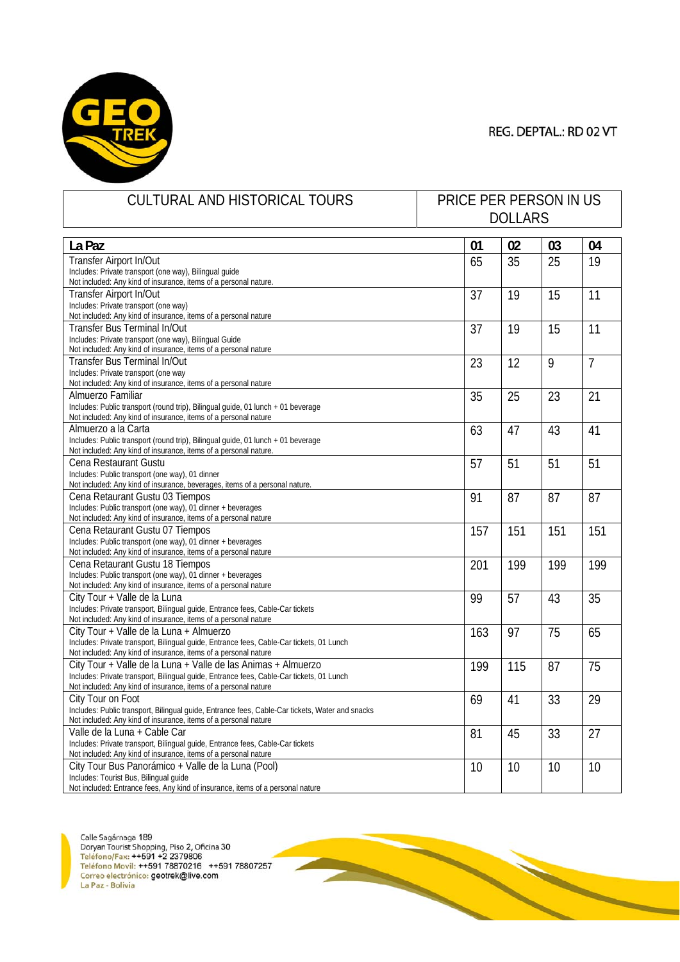

| CULTURAL AND HISTORICAL TOURS                                                                                                  | PRICE PER PERSON IN US |     |     |                |
|--------------------------------------------------------------------------------------------------------------------------------|------------------------|-----|-----|----------------|
|                                                                                                                                | <b>DOLLARS</b>         |     |     |                |
|                                                                                                                                |                        |     |     |                |
| La Paz                                                                                                                         | 01                     | 02  | 03  | 04             |
| Transfer Airport In/Out                                                                                                        | 65                     | 35  | 25  | 19             |
| Includes: Private transport (one way), Bilingual guide                                                                         |                        |     |     |                |
| Not included: Any kind of insurance, items of a personal nature.                                                               |                        |     |     |                |
| Transfer Airport In/Out                                                                                                        | 37                     | 19  | 15  | 11             |
| Includes: Private transport (one way)                                                                                          |                        |     |     |                |
| Not included: Any kind of insurance, items of a personal nature                                                                |                        |     |     |                |
| Transfer Bus Terminal In/Out                                                                                                   | 37                     | 19  | 15  | 11             |
| Includes: Private transport (one way), Bilingual Guide                                                                         |                        |     |     |                |
| Not included: Any kind of insurance, items of a personal nature                                                                |                        |     |     |                |
| Transfer Bus Terminal In/Out                                                                                                   | 23                     | 12  | 9   | $\overline{7}$ |
| Includes: Private transport (one way                                                                                           |                        |     |     |                |
| Not included: Any kind of insurance, items of a personal nature                                                                |                        |     |     |                |
| Almuerzo Familiar                                                                                                              | 35                     | 25  | 23  | 21             |
| Includes: Public transport (round trip), Bilingual guide, 01 lunch + 01 beverage                                               |                        |     |     |                |
| Not included: Any kind of insurance, items of a personal nature                                                                |                        |     |     |                |
| Almuerzo a la Carta                                                                                                            | 63                     | 47  | 43  | 41             |
| Includes: Public transport (round trip), Bilingual guide, 01 lunch + 01 beverage                                               |                        |     |     |                |
| Not included: Any kind of insurance, items of a personal nature.                                                               |                        |     |     |                |
| Cena Restaurant Gustu                                                                                                          | 57                     | 51  | 51  | 51             |
| Includes: Public transport (one way), 01 dinner                                                                                |                        |     |     |                |
| Not included: Any kind of insurance, beverages, items of a personal nature.                                                    |                        |     |     |                |
| Cena Retaurant Gustu 03 Tiempos                                                                                                | 91                     | 87  | 87  | 87             |
| Includes: Public transport (one way), 01 dinner + beverages                                                                    |                        |     |     |                |
| Not included: Any kind of insurance, items of a personal nature                                                                |                        |     |     |                |
| Cena Retaurant Gustu 07 Tiempos                                                                                                | 157                    | 151 | 151 | 151            |
| Includes: Public transport (one way), 01 dinner + beverages<br>Not included: Any kind of insurance, items of a personal nature |                        |     |     |                |
|                                                                                                                                |                        |     |     |                |
| Cena Retaurant Gustu 18 Tiempos<br>Includes: Public transport (one way), 01 dinner + beverages                                 | 201                    | 199 | 199 | 199            |
| Not included: Any kind of insurance, items of a personal nature                                                                |                        |     |     |                |
| City Tour + Valle de la Luna                                                                                                   |                        |     |     |                |
| Includes: Private transport, Bilingual guide, Entrance fees, Cable-Car tickets                                                 | 99                     | 57  | 43  | 35             |
| Not included: Any kind of insurance, items of a personal nature                                                                |                        |     |     |                |
| City Tour + Valle de la Luna + Almuerzo                                                                                        | 163                    | 97  | 75  | 65             |
| Includes: Private transport, Bilingual guide, Entrance fees, Cable-Car tickets, 01 Lunch                                       |                        |     |     |                |
| Not included: Any kind of insurance, items of a personal nature                                                                |                        |     |     |                |
| City Tour + Valle de la Luna + Valle de las Animas + Almuerzo                                                                  | 199                    | 115 | 87  | 75             |
| Includes: Private transport, Bilingual guide, Entrance fees, Cable-Car tickets, 01 Lunch                                       |                        |     |     |                |
| Not included: Any kind of insurance, items of a personal nature                                                                |                        |     |     |                |
| City Tour on Foot                                                                                                              | 69                     | 41  | 33  | 29             |
| Includes: Public transport, Bilingual guide, Entrance fees, Cable-Car tickets, Water and snacks                                |                        |     |     |                |
| Not included: Any kind of insurance, items of a personal nature                                                                |                        |     |     |                |
| Valle de la Luna + Cable Car                                                                                                   | 81                     | 45  | 33  | 27             |
| Includes: Private transport, Bilingual guide, Entrance fees, Cable-Car tickets                                                 |                        |     |     |                |
| Not included: Any kind of insurance, items of a personal nature                                                                |                        |     |     |                |
| City Tour Bus Panorámico + Valle de la Luna (Pool)                                                                             | 10                     | 10  | 10  | 10             |
| Includes: Tourist Bus, Bilingual guide                                                                                         |                        |     |     |                |
| Not included: Entrance fees, Any kind of insurance, items of a personal nature                                                 |                        |     |     |                |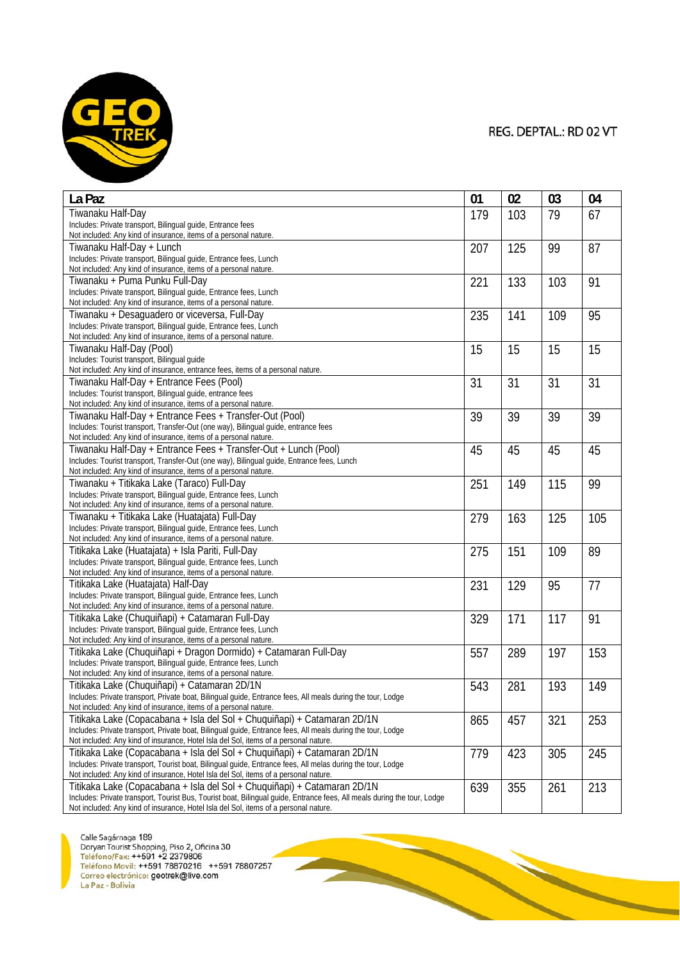

| La Paz                                                                                                                                                                                              | 01  | 02  | 03  | 04  |
|-----------------------------------------------------------------------------------------------------------------------------------------------------------------------------------------------------|-----|-----|-----|-----|
| Tiwanaku Half-Day                                                                                                                                                                                   | 179 | 103 | 79  | 67  |
| Includes: Private transport, Bilingual guide, Entrance fees                                                                                                                                         |     |     |     |     |
| Not included: Any kind of insurance, items of a personal nature.                                                                                                                                    |     |     |     |     |
| Tiwanaku Half-Day + Lunch                                                                                                                                                                           | 207 | 125 | 99  | 87  |
| Includes: Private transport, Bilingual guide, Entrance fees, Lunch                                                                                                                                  |     |     |     |     |
| Not included: Any kind of insurance, items of a personal nature.<br>Tiwanaku + Puma Punku Full-Day                                                                                                  |     |     |     |     |
| Includes: Private transport, Bilingual guide, Entrance fees, Lunch                                                                                                                                  | 221 | 133 | 103 | 91  |
| Not included: Any kind of insurance, items of a personal nature.                                                                                                                                    |     |     |     |     |
| Tiwanaku + Desaguadero or viceversa, Full-Day                                                                                                                                                       | 235 | 141 | 109 | 95  |
| Includes: Private transport, Bilingual guide, Entrance fees, Lunch                                                                                                                                  |     |     |     |     |
| Not included: Any kind of insurance, items of a personal nature.                                                                                                                                    |     |     |     |     |
| Tiwanaku Half-Day (Pool)                                                                                                                                                                            | 15  | 15  | 15  | 15  |
| Includes: Tourist transport, Bilingual guide                                                                                                                                                        |     |     |     |     |
| Not included: Any kind of insurance, entrance fees, items of a personal nature.                                                                                                                     |     |     |     |     |
| Tiwanaku Half-Day + Entrance Fees (Pool)                                                                                                                                                            | 31  | 31  | 31  | 31  |
| Includes: Tourist transport, Bilingual guide, entrance fees<br>Not included: Any kind of insurance, items of a personal nature.                                                                     |     |     |     |     |
| Tiwanaku Half-Day + Entrance Fees + Transfer-Out (Pool)                                                                                                                                             | 39  | 39  | 39  | 39  |
| Includes: Tourist transport, Transfer-Out (one way), Bilingual guide, entrance fees                                                                                                                 |     |     |     |     |
| Not included: Any kind of insurance, items of a personal nature.                                                                                                                                    |     |     |     |     |
| Tiwanaku Half-Day + Entrance Fees + Transfer-Out + Lunch (Pool)                                                                                                                                     | 45  | 45  | 45  | 45  |
| Includes: Tourist transport, Transfer-Out (one way), Bilingual guide, Entrance fees, Lunch                                                                                                          |     |     |     |     |
| Not included: Any kind of insurance, items of a personal nature.                                                                                                                                    |     |     |     |     |
| Tiwanaku + Titikaka Lake (Taraco) Full-Day                                                                                                                                                          | 251 | 149 | 115 | 99  |
| Includes: Private transport, Bilingual guide, Entrance fees, Lunch                                                                                                                                  |     |     |     |     |
| Not included: Any kind of insurance, items of a personal nature.                                                                                                                                    |     |     |     |     |
| Tiwanaku + Titikaka Lake (Huatajata) Full-Day                                                                                                                                                       | 279 | 163 | 125 | 105 |
| Includes: Private transport, Bilingual quide, Entrance fees, Lunch<br>Not included: Any kind of insurance, items of a personal nature.                                                              |     |     |     |     |
| Titikaka Lake (Huatajata) + Isla Pariti, Full-Day                                                                                                                                                   | 275 | 151 | 109 | 89  |
| Includes: Private transport, Bilingual guide, Entrance fees, Lunch                                                                                                                                  |     |     |     |     |
| Not included: Any kind of insurance, items of a personal nature.                                                                                                                                    |     |     |     |     |
| Titikaka Lake (Huatajata) Half-Day                                                                                                                                                                  | 231 | 129 | 95  | 77  |
| Includes: Private transport, Bilingual guide, Entrance fees, Lunch                                                                                                                                  |     |     |     |     |
| Not included: Any kind of insurance, items of a personal nature.                                                                                                                                    |     |     |     |     |
| Titikaka Lake (Chuquiñapi) + Catamaran Full-Day                                                                                                                                                     | 329 | 171 | 117 | 91  |
| Includes: Private transport, Bilingual guide, Entrance fees, Lunch<br>Not included: Any kind of insurance, items of a personal nature.                                                              |     |     |     |     |
| Titikaka Lake (Chuquiñapi + Dragon Dormido) + Catamaran Full-Day                                                                                                                                    |     |     |     |     |
| Includes: Private transport, Bilingual guide, Entrance fees, Lunch                                                                                                                                  | 557 | 289 | 197 | 153 |
| Not included: Any kind of insurance, items of a personal nature.                                                                                                                                    |     |     |     |     |
| Titikaka Lake (Chuquiñapi) + Catamaran 2D/1N                                                                                                                                                        | 543 | 281 | 193 | 149 |
| Includes: Private transport, Private boat, Bilingual guide, Entrance fees, All meals during the tour, Lodge                                                                                         |     |     |     |     |
| Not included: Any kind of insurance, items of a personal nature.                                                                                                                                    |     |     |     |     |
| Titikaka Lake (Copacabana + Isla del Sol + Chuquiñapi) + Catamaran 2D/1N                                                                                                                            | 865 | 457 | 321 | 253 |
| Includes: Private transport, Private boat, Bilingual guide, Entrance fees, All meals during the tour, Lodge                                                                                         |     |     |     |     |
| Not included: Any kind of insurance, Hotel Isla del Sol, items of a personal nature.                                                                                                                |     |     |     |     |
| Titikaka Lake (Copacabana + Isla del Sol + Chuquiñapi) + Catamaran 2D/1N                                                                                                                            | 779 | 423 | 305 | 245 |
| Includes: Private transport, Tourist boat, Bilingual guide, Entrance fees, All melas during the tour, Lodge<br>Not included: Any kind of insurance, Hotel Isla del Sol, items of a personal nature. |     |     |     |     |
| Titikaka Lake (Copacabana + Isla del Sol + Chuquiñapi) + Catamaran 2D/1N                                                                                                                            | 639 | 355 | 261 | 213 |
| Includes: Private transport, Tourist Bus, Tourist boat, Bilingual guide, Entrance fees, All meals during the tour, Lodge                                                                            |     |     |     |     |
| Not included: Any kind of insurance, Hotel Isla del Sol, items of a personal nature.                                                                                                                |     |     |     |     |

**START OF BUILDING**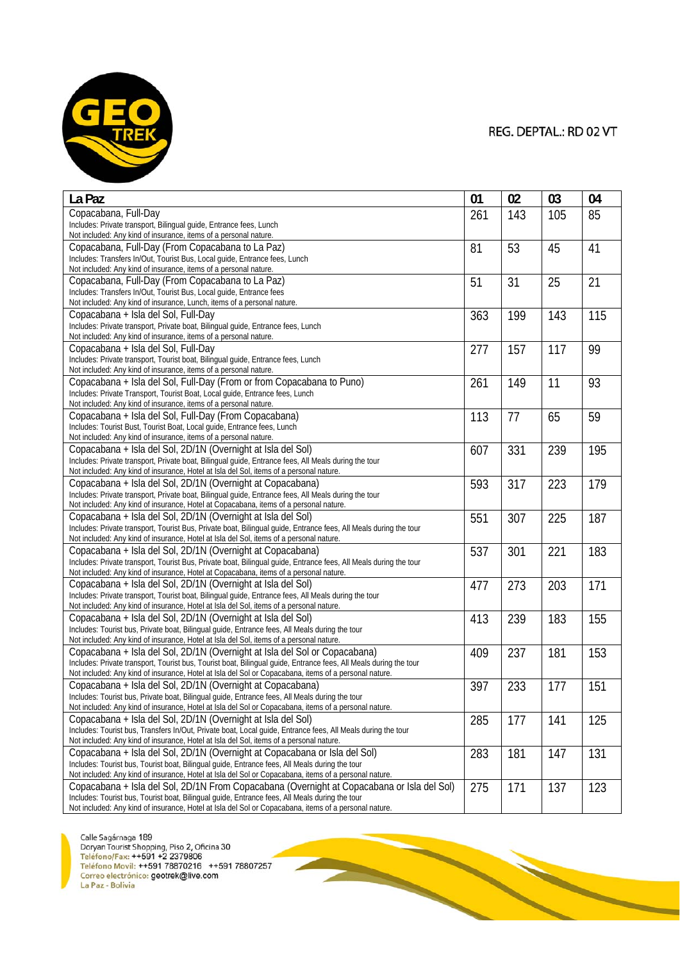

| La Paz                                                                                                                                                                                                       | 01  | 02  | 03  | 04  |
|--------------------------------------------------------------------------------------------------------------------------------------------------------------------------------------------------------------|-----|-----|-----|-----|
| Copacabana, Full-Day                                                                                                                                                                                         | 261 | 143 | 105 | 85  |
| Includes: Private transport, Bilingual guide, Entrance fees, Lunch                                                                                                                                           |     |     |     |     |
| Not included: Any kind of insurance, items of a personal nature.                                                                                                                                             |     |     |     |     |
| Copacabana, Full-Day (From Copacabana to La Paz)<br>Includes: Transfers In/Out, Tourist Bus, Local quide, Entrance fees, Lunch                                                                               | 81  | 53  | 45  | 41  |
| Not included: Any kind of insurance, items of a personal nature.                                                                                                                                             |     |     |     |     |
| Copacabana, Full-Day (From Copacabana to La Paz)                                                                                                                                                             | 51  | 31  | 25  | 21  |
| Includes: Transfers In/Out, Tourist Bus, Local guide, Entrance fees                                                                                                                                          |     |     |     |     |
| Not included: Any kind of insurance, Lunch, items of a personal nature.                                                                                                                                      |     |     |     |     |
| Copacabana + Isla del Sol, Full-Day                                                                                                                                                                          | 363 | 199 | 143 | 115 |
| Includes: Private transport, Private boat, Bilingual guide, Entrance fees, Lunch                                                                                                                             |     |     |     |     |
| Not included: Any kind of insurance, items of a personal nature.<br>Copacabana + Isla del Sol, Full-Day                                                                                                      |     |     |     | 99  |
| Includes: Private transport, Tourist boat, Bilingual guide, Entrance fees, Lunch                                                                                                                             | 277 | 157 | 117 |     |
| Not included: Any kind of insurance, items of a personal nature.                                                                                                                                             |     |     |     |     |
| Copacabana + Isla del Sol, Full-Day (From or from Copacabana to Puno)                                                                                                                                        | 261 | 149 | 11  | 93  |
| Includes: Private Transport, Tourist Boat, Local guide, Entrance fees, Lunch                                                                                                                                 |     |     |     |     |
| Not included: Any kind of insurance, items of a personal nature.                                                                                                                                             |     |     |     |     |
| Copacabana + Isla del Sol, Full-Day (From Copacabana)                                                                                                                                                        | 113 | 77  | 65  | 59  |
| Includes: Tourist Bust, Tourist Boat, Local quide, Entrance fees, Lunch<br>Not included: Any kind of insurance, items of a personal nature.                                                                  |     |     |     |     |
| Copacabana + Isla del Sol, 2D/1N (Overnight at Isla del Sol)                                                                                                                                                 | 607 | 331 | 239 | 195 |
| Includes: Private transport, Private boat, Bilingual guide, Entrance fees, All Meals during the tour                                                                                                         |     |     |     |     |
| Not included: Any kind of insurance, Hotel at Isla del Sol, items of a personal nature.                                                                                                                      |     |     |     |     |
| Copacabana + Isla del Sol, 2D/1N (Overnight at Copacabana)                                                                                                                                                   | 593 | 317 | 223 | 179 |
| Includes: Private transport, Private boat, Bilingual guide, Entrance fees, All Meals during the tour                                                                                                         |     |     |     |     |
| Not included: Any kind of insurance, Hotel at Copacabana, items of a personal nature.                                                                                                                        |     |     |     |     |
| Copacabana + Isla del Sol, 2D/1N (Overnight at Isla del Sol)                                                                                                                                                 | 551 | 307 | 225 | 187 |
| Includes: Private transport, Tourist Bus, Private boat, Bilingual guide, Entrance fees, All Meals during the tour<br>Not included: Any kind of insurance, Hotel at Isla del Sol, items of a personal nature. |     |     |     |     |
| Copacabana + Isla del Sol, 2D/1N (Overnight at Copacabana)                                                                                                                                                   | 537 | 301 | 221 | 183 |
| Includes: Private transport, Tourist Bus, Private boat, Bilingual guide, Entrance fees, All Meals during the tour                                                                                            |     |     |     |     |
| Not included: Any kind of insurance, Hotel at Copacabana, items of a personal nature.                                                                                                                        |     |     |     |     |
| Copacabana + Isla del Sol, 2D/1N (Overnight at Isla del Sol)                                                                                                                                                 | 477 | 273 | 203 | 171 |
| Includes: Private transport, Tourist boat, Bilingual guide, Entrance fees, All Meals during the tour                                                                                                         |     |     |     |     |
| Not included: Any kind of insurance, Hotel at Isla del Sol, items of a personal nature.                                                                                                                      |     |     |     |     |
| Copacabana + Isla del Sol, 2D/1N (Overnight at Isla del Sol)<br>Includes: Tourist bus, Private boat, Bilingual guide, Entrance fees, All Meals during the tour                                               | 413 | 239 | 183 | 155 |
| Not included: Any kind of insurance, Hotel at Isla del Sol, items of a personal nature.                                                                                                                      |     |     |     |     |
| Copacabana + Isla del Sol, 2D/1N (Overnight at Isla del Sol or Copacabana)                                                                                                                                   | 409 | 237 | 181 | 153 |
| Includes: Private transport, Tourist bus, Tourist boat, Bilingual guide, Entrance fees, All Meals during the tour                                                                                            |     |     |     |     |
| Not included: Any kind of insurance, Hotel at Isla del Sol or Copacabana, items of a personal nature.                                                                                                        |     |     |     |     |
| Copacabana + Isla del Sol, 2D/1N (Overnight at Copacabana)                                                                                                                                                   | 397 | 233 | 177 | 151 |
| Includes: Tourist bus, Private boat, Bilingual guide, Entrance fees, All Meals during the tour<br>Not included: Any kind of insurance, Hotel at Isla del Sol or Copacabana, items of a personal nature.      |     |     |     |     |
| Copacabana + Isla del Sol, 2D/1N (Overnight at Isla del Sol)                                                                                                                                                 |     |     | 141 | 125 |
| Includes: Tourist bus, Transfers In/Out, Private boat, Local guide, Entrance fees, All Meals during the tour                                                                                                 | 285 | 177 |     |     |
| Not included: Any kind of insurance, Hotel at Isla del Sol, items of a personal nature.                                                                                                                      |     |     |     |     |
| Copacabana + Isla del Sol, 2D/1N (Overnight at Copacabana or Isla del Sol)                                                                                                                                   | 283 | 181 | 147 | 131 |
| Includes: Tourist bus, Tourist boat, Bilingual guide, Entrance fees, All Meals during the tour                                                                                                               |     |     |     |     |
| Not included: Any kind of insurance, Hotel at Isla del Sol or Copacabana, items of a personal nature.                                                                                                        |     |     |     |     |
| Copacabana + Isla del Sol, 2D/1N From Copacabana (Overnight at Copacabana or Isla del Sol)                                                                                                                   | 275 | 171 | 137 | 123 |
| Includes: Tourist bus, Tourist boat, Bilingual guide, Entrance fees, All Meals during the tour<br>Not included: Any kind of insurance. Hotel at Isla del Sol or Conacabana, items of a personal nature       |     |     |     |     |

**Particularly**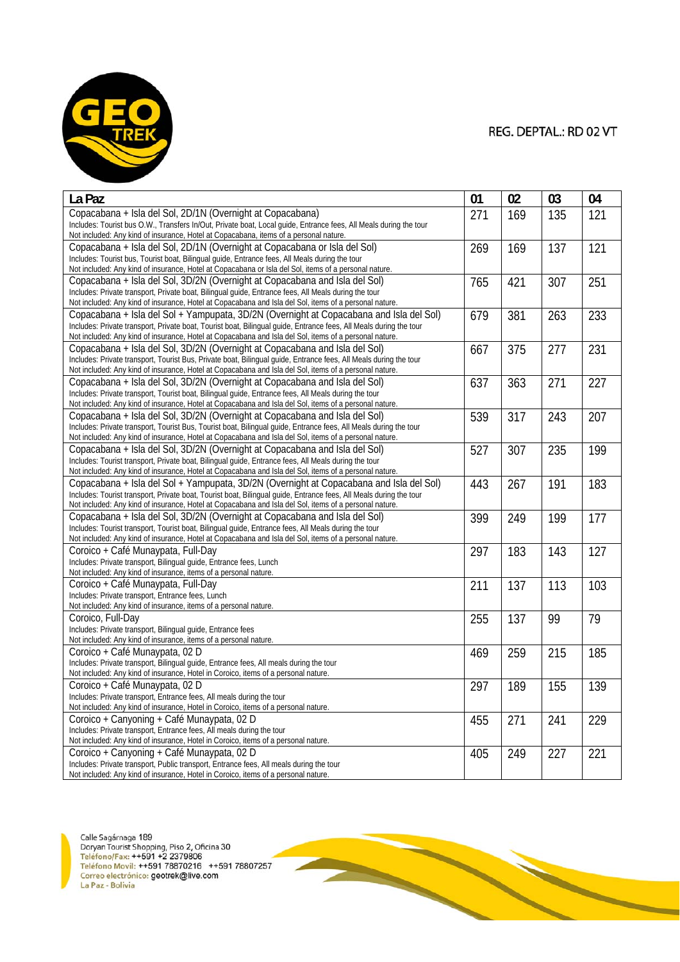

| La Paz                                                                                                                                                                                                         | 01  | 02  | 03  | 04  |
|----------------------------------------------------------------------------------------------------------------------------------------------------------------------------------------------------------------|-----|-----|-----|-----|
| Copacabana + Isla del Sol, 2D/1N (Overnight at Copacabana)                                                                                                                                                     | 271 | 169 | 135 | 121 |
| Includes: Tourist bus O.W., Transfers In/Out, Private boat, Local guide, Entrance fees, All Meals during the tour                                                                                              |     |     |     |     |
| Not included: Any kind of insurance, Hotel at Copacabana, items of a personal nature.                                                                                                                          |     |     |     |     |
| Copacabana + Isla del Sol, 2D/1N (Overnight at Copacabana or Isla del Sol)                                                                                                                                     | 269 | 169 | 137 | 121 |
| Includes: Tourist bus, Tourist boat, Bilingual guide, Entrance fees, All Meals during the tour<br>Not included: Any kind of insurance, Hotel at Copacabana or Isla del Sol, items of a personal nature.        |     |     |     |     |
| Copacabana + Isla del Sol, 3D/2N (Overnight at Copacabana and Isla del Sol)                                                                                                                                    | 765 | 421 | 307 | 251 |
| Includes: Private transport, Private boat, Bilingual guide, Entrance fees, All Meals during the tour                                                                                                           |     |     |     |     |
| Not included: Any kind of insurance, Hotel at Copacabana and Isla del Sol, items of a personal nature.                                                                                                         |     |     |     |     |
| Copacabana + Isla del Sol + Yampupata, 3D/2N (Overnight at Copacabana and Isla del Sol)                                                                                                                        | 679 | 381 | 263 | 233 |
| Includes: Private transport, Private boat, Tourist boat, Bilingual guide, Entrance fees, All Meals during the tour                                                                                             |     |     |     |     |
| Not included: Any kind of insurance, Hotel at Copacabana and Isla del Sol, items of a personal nature.                                                                                                         |     |     |     |     |
| Copacabana + Isla del Sol, 3D/2N (Overnight at Copacabana and Isla del Sol)                                                                                                                                    | 667 | 375 | 277 | 231 |
| Includes: Private transport, Tourist Bus, Private boat, Bilingual guide, Entrance fees, All Meals during the tour                                                                                              |     |     |     |     |
| Not included: Any kind of insurance, Hotel at Copacabana and Isla del Sol, items of a personal nature.                                                                                                         |     |     |     |     |
| Copacabana + Isla del Sol, 3D/2N (Overnight at Copacabana and Isla del Sol)                                                                                                                                    | 637 | 363 | 271 | 227 |
| Includes: Private transport, Tourist boat, Bilingual guide, Entrance fees, All Meals during the tour<br>Not included: Any kind of insurance, Hotel at Copacabana and Isla del Sol, items of a personal nature. |     |     |     |     |
| Copacabana + Isla del Sol, 3D/2N (Overnight at Copacabana and Isla del Sol)                                                                                                                                    | 539 | 317 | 243 | 207 |
| Includes: Private transport, Tourist Bus, Tourist boat, Bilingual quide, Entrance fees, All Meals during the tour                                                                                              |     |     |     |     |
| Not included: Any kind of insurance, Hotel at Copacabana and Isla del Sol, items of a personal nature.                                                                                                         |     |     |     |     |
| Copacabana + Isla del Sol, 3D/2N (Overnight at Copacabana and Isla del Sol)                                                                                                                                    | 527 | 307 | 235 | 199 |
| Includes: Tourist transport, Private boat, Bilingual guide, Entrance fees, All Meals during the tour                                                                                                           |     |     |     |     |
| Not included: Any kind of insurance, Hotel at Copacabana and Isla del Sol, items of a personal nature.                                                                                                         |     |     |     |     |
| Copacabana + Isla del Sol + Yampupata, 3D/2N (Overnight at Copacabana and Isla del Sol)                                                                                                                        | 443 | 267 | 191 | 183 |
| Includes: Tourist transport, Private boat, Tourist boat, Bilingual quide, Entrance fees, All Meals during the tour                                                                                             |     |     |     |     |
| Not included: Any kind of insurance, Hotel at Copacabana and Isla del Sol, items of a personal nature.                                                                                                         |     |     |     |     |
| Copacabana + Isla del Sol, 3D/2N (Overnight at Copacabana and Isla del Sol)                                                                                                                                    | 399 | 249 | 199 | 177 |
| Includes: Tourist transport, Tourist boat, Bilingual quide, Entrance fees, All Meals during the tour<br>Not included: Any kind of insurance, Hotel at Copacabana and Isla del Sol, items of a personal nature. |     |     |     |     |
| Coroico + Café Munaypata, Full-Day                                                                                                                                                                             | 297 | 183 | 143 | 127 |
| Includes: Private transport, Bilingual guide, Entrance fees, Lunch                                                                                                                                             |     |     |     |     |
| Not included: Any kind of insurance, items of a personal nature.                                                                                                                                               |     |     |     |     |
| Coroico + Café Munaypata, Full-Day                                                                                                                                                                             | 211 | 137 | 113 | 103 |
| Includes: Private transport, Entrance fees, Lunch                                                                                                                                                              |     |     |     |     |
| Not included: Any kind of insurance, items of a personal nature.                                                                                                                                               |     |     |     |     |
| Coroico, Full-Dav                                                                                                                                                                                              | 255 | 137 | 99  | 79  |
| Includes: Private transport, Bilingual guide, Entrance fees                                                                                                                                                    |     |     |     |     |
| Not included: Any kind of insurance, items of a personal nature.                                                                                                                                               |     |     |     |     |
| Coroico + Café Munaypata, 02 D                                                                                                                                                                                 | 469 | 259 | 215 | 185 |
| Includes: Private transport, Bilingual guide, Entrance fees, All meals during the tour<br>Not included: Any kind of insurance, Hotel in Coroico, items of a personal nature.                                   |     |     |     |     |
| Coroico + Café Munaypata, 02 D                                                                                                                                                                                 | 297 | 189 | 155 | 139 |
| Includes: Private transport, Entrance fees, All meals during the tour                                                                                                                                          |     |     |     |     |
| Not included: Any kind of insurance, Hotel in Coroico, items of a personal nature.                                                                                                                             |     |     |     |     |
| Coroico + Canyoning + Café Munaypata, 02 D                                                                                                                                                                     | 455 | 271 | 241 | 229 |
| Includes: Private transport, Entrance fees, All meals during the tour                                                                                                                                          |     |     |     |     |
| Not included: Any kind of insurance, Hotel in Coroico, items of a personal nature.                                                                                                                             |     |     |     |     |
| Coroico + Canyoning + Café Munaypata, 02 D                                                                                                                                                                     | 405 | 249 | 227 | 221 |
| Includes: Private transport, Public transport, Entrance fees, All meals during the tour                                                                                                                        |     |     |     |     |
| Not included: Any kind of insurance, Hotel in Coroico, items of a personal nature.                                                                                                                             |     |     |     |     |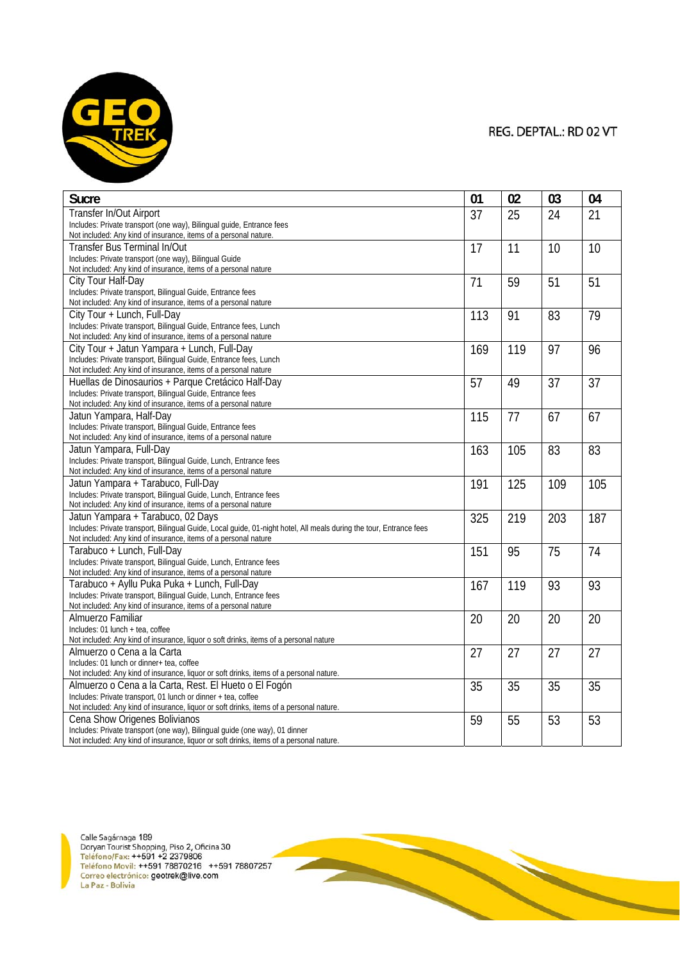

| <b>Sucre</b>                                                                                                                                             | 01  | 02  | 03  | 04              |
|----------------------------------------------------------------------------------------------------------------------------------------------------------|-----|-----|-----|-----------------|
| Transfer In/Out Airport                                                                                                                                  | 37  | 25  | 24  | 21              |
| Includes: Private transport (one way), Bilingual guide, Entrance fees                                                                                    |     |     |     |                 |
| Not included: Any kind of insurance, items of a personal nature.                                                                                         |     |     |     |                 |
| Transfer Bus Terminal In/Out                                                                                                                             | 17  | 11  | 10  | 10              |
| Includes: Private transport (one way), Bilingual Guide                                                                                                   |     |     |     |                 |
| Not included: Any kind of insurance, items of a personal nature                                                                                          |     |     |     |                 |
| City Tour Half-Day                                                                                                                                       | 71  | 59  | 51  | 51              |
| Includes: Private transport, Bilingual Guide, Entrance fees                                                                                              |     |     |     |                 |
| Not included: Any kind of insurance, items of a personal nature                                                                                          |     |     |     |                 |
| City Tour + Lunch, Full-Day                                                                                                                              | 113 | 91  | 83  | 79              |
| Includes: Private transport, Bilingual Guide, Entrance fees, Lunch                                                                                       |     |     |     |                 |
| Not included: Any kind of insurance, items of a personal nature                                                                                          |     |     |     |                 |
| City Tour + Jatun Yampara + Lunch, Full-Day                                                                                                              | 169 | 119 | 97  | 96              |
| Includes: Private transport, Bilingual Guide, Entrance fees, Lunch                                                                                       |     |     |     |                 |
| Not included: Any kind of insurance, items of a personal nature                                                                                          |     |     |     |                 |
| Huellas de Dinosaurios + Parque Cretácico Half-Day                                                                                                       | 57  | 49  | 37  | 37              |
| Includes: Private transport, Bilingual Guide, Entrance fees                                                                                              |     |     |     |                 |
| Not included: Any kind of insurance, items of a personal nature                                                                                          |     |     |     |                 |
| Jatun Yampara, Half-Day                                                                                                                                  | 115 | 77  | 67  | $\overline{67}$ |
| Includes: Private transport, Bilingual Guide, Entrance fees                                                                                              |     |     |     |                 |
| Not included: Any kind of insurance, items of a personal nature                                                                                          |     |     |     |                 |
| Jatun Yampara, Full-Day                                                                                                                                  | 163 | 105 | 83  | 83              |
| Includes: Private transport, Bilingual Guide, Lunch, Entrance fees                                                                                       |     |     |     |                 |
| Not included: Any kind of insurance, items of a personal nature                                                                                          |     |     |     |                 |
| Jatun Yampara + Tarabuco, Full-Day                                                                                                                       | 191 | 125 | 109 | 105             |
| Includes: Private transport, Bilingual Guide, Lunch, Entrance fees<br>Not included: Any kind of insurance, items of a personal nature                    |     |     |     |                 |
|                                                                                                                                                          |     |     |     |                 |
| Jatun Yampara + Tarabuco, 02 Days<br>Includes: Private transport, Bilingual Guide, Local guide, 01-night hotel, All meals during the tour, Entrance fees | 325 | 219 | 203 | 187             |
| Not included: Any kind of insurance, items of a personal nature                                                                                          |     |     |     |                 |
| Tarabuco + Lunch, Full-Day                                                                                                                               | 151 | 95  | 75  | 74              |
| Includes: Private transport, Bilingual Guide, Lunch, Entrance fees                                                                                       |     |     |     |                 |
| Not included: Any kind of insurance, items of a personal nature                                                                                          |     |     |     |                 |
| Tarabuco + Ayllu Puka Puka + Lunch, Full-Day                                                                                                             | 167 | 119 | 93  | 93              |
| Includes: Private transport, Bilingual Guide, Lunch, Entrance fees                                                                                       |     |     |     |                 |
| Not included: Any kind of insurance, items of a personal nature                                                                                          |     |     |     |                 |
| Almuerzo Familiar                                                                                                                                        | 20  | 20  | 20  | 20              |
| Includes: 01 lunch + tea, coffee                                                                                                                         |     |     |     |                 |
| Not included: Any kind of insurance, liquor o soft drinks, items of a personal nature                                                                    |     |     |     |                 |
| Almuerzo o Cena a la Carta                                                                                                                               | 27  | 27  | 27  | 27              |
| Includes: 01 lunch or dinner+ tea, coffee                                                                                                                |     |     |     |                 |
| Not included: Any kind of insurance, liquor or soft drinks, items of a personal nature.                                                                  |     |     |     |                 |
| Almuerzo o Cena a la Carta, Rest. El Hueto o El Fogón                                                                                                    | 35  | 35  | 35  | 35              |
| Includes: Private transport, 01 lunch or dinner + tea, coffee                                                                                            |     |     |     |                 |
| Not included: Any kind of insurance, liquor or soft drinks, items of a personal nature.                                                                  |     |     |     |                 |
| Cena Show Origenes Bolivianos                                                                                                                            | 59  | 55  | 53  | 53              |
| Includes: Private transport (one way), Bilingual quide (one way), 01 dinner                                                                              |     |     |     |                 |
| Not included: Any kind of insurance liquor or soft drinks items of a personal pature                                                                     |     |     |     |                 |

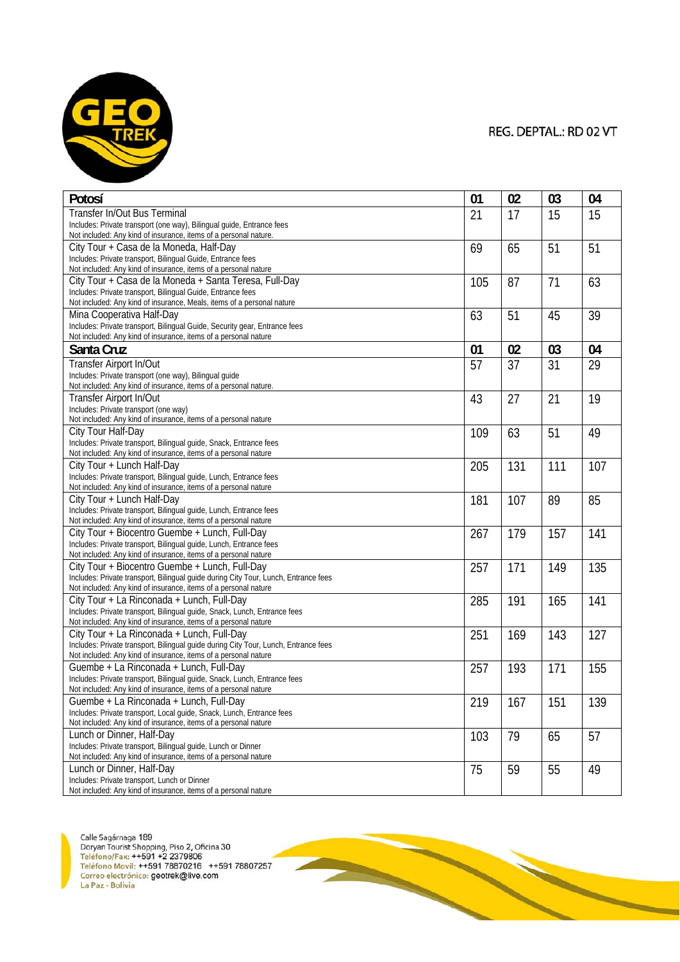

| Potosí                                                                                                                                                                                                                                                                                                                                                                                                                                                                                                                                                                                                                                                                                                                                                                                                                                                                                                                                                                                                                                                                | 01                                           | 02                                          | 03                                    | 04                                    |
|-----------------------------------------------------------------------------------------------------------------------------------------------------------------------------------------------------------------------------------------------------------------------------------------------------------------------------------------------------------------------------------------------------------------------------------------------------------------------------------------------------------------------------------------------------------------------------------------------------------------------------------------------------------------------------------------------------------------------------------------------------------------------------------------------------------------------------------------------------------------------------------------------------------------------------------------------------------------------------------------------------------------------------------------------------------------------|----------------------------------------------|---------------------------------------------|---------------------------------------|---------------------------------------|
| Transfer In/Out Bus Terminal                                                                                                                                                                                                                                                                                                                                                                                                                                                                                                                                                                                                                                                                                                                                                                                                                                                                                                                                                                                                                                          |                                              |                                             |                                       |                                       |
| Includes: Private transport (one way), Bilingual guide, Entrance fees                                                                                                                                                                                                                                                                                                                                                                                                                                                                                                                                                                                                                                                                                                                                                                                                                                                                                                                                                                                                 | 21                                           | 17                                          | 15                                    | 15                                    |
| Not included: Any kind of insurance, items of a personal nature.                                                                                                                                                                                                                                                                                                                                                                                                                                                                                                                                                                                                                                                                                                                                                                                                                                                                                                                                                                                                      |                                              |                                             |                                       |                                       |
| City Tour + Casa de la Moneda, Half-Day                                                                                                                                                                                                                                                                                                                                                                                                                                                                                                                                                                                                                                                                                                                                                                                                                                                                                                                                                                                                                               | 69                                           | 65                                          | 51                                    | 51                                    |
| Includes: Private transport, Bilingual Guide, Entrance fees                                                                                                                                                                                                                                                                                                                                                                                                                                                                                                                                                                                                                                                                                                                                                                                                                                                                                                                                                                                                           |                                              |                                             |                                       |                                       |
| Not included: Any kind of insurance, items of a personal nature                                                                                                                                                                                                                                                                                                                                                                                                                                                                                                                                                                                                                                                                                                                                                                                                                                                                                                                                                                                                       |                                              |                                             |                                       |                                       |
| City Tour + Casa de la Moneda + Santa Teresa, Full-Day                                                                                                                                                                                                                                                                                                                                                                                                                                                                                                                                                                                                                                                                                                                                                                                                                                                                                                                                                                                                                | 105                                          | 87                                          | 71                                    | 63                                    |
| Includes: Private transport, Bilingual Guide, Entrance fees                                                                                                                                                                                                                                                                                                                                                                                                                                                                                                                                                                                                                                                                                                                                                                                                                                                                                                                                                                                                           |                                              |                                             |                                       |                                       |
| Not included: Any kind of insurance, Meals, items of a personal nature                                                                                                                                                                                                                                                                                                                                                                                                                                                                                                                                                                                                                                                                                                                                                                                                                                                                                                                                                                                                |                                              |                                             |                                       |                                       |
| Mina Cooperativa Half-Day                                                                                                                                                                                                                                                                                                                                                                                                                                                                                                                                                                                                                                                                                                                                                                                                                                                                                                                                                                                                                                             | 63                                           | 51                                          | 45                                    | 39                                    |
| Includes: Private transport, Bilingual Guide, Security gear, Entrance fees                                                                                                                                                                                                                                                                                                                                                                                                                                                                                                                                                                                                                                                                                                                                                                                                                                                                                                                                                                                            |                                              |                                             |                                       |                                       |
| Not included: Any kind of insurance, items of a personal nature                                                                                                                                                                                                                                                                                                                                                                                                                                                                                                                                                                                                                                                                                                                                                                                                                                                                                                                                                                                                       |                                              |                                             |                                       |                                       |
| Santa Cruz                                                                                                                                                                                                                                                                                                                                                                                                                                                                                                                                                                                                                                                                                                                                                                                                                                                                                                                                                                                                                                                            | 01                                           | 02                                          | 03                                    | 04                                    |
| Transfer Airport In/Out                                                                                                                                                                                                                                                                                                                                                                                                                                                                                                                                                                                                                                                                                                                                                                                                                                                                                                                                                                                                                                               | 57                                           | 37                                          | 31                                    | 29                                    |
| Includes: Private transport (one way), Bilingual guide                                                                                                                                                                                                                                                                                                                                                                                                                                                                                                                                                                                                                                                                                                                                                                                                                                                                                                                                                                                                                |                                              |                                             |                                       |                                       |
| Not included: Any kind of insurance, items of a personal nature.                                                                                                                                                                                                                                                                                                                                                                                                                                                                                                                                                                                                                                                                                                                                                                                                                                                                                                                                                                                                      |                                              |                                             |                                       |                                       |
| Transfer Airport In/Out                                                                                                                                                                                                                                                                                                                                                                                                                                                                                                                                                                                                                                                                                                                                                                                                                                                                                                                                                                                                                                               | 43                                           | 27                                          | 21                                    | 19                                    |
| Includes: Private transport (one way)<br>Not included: Any kind of insurance, items of a personal nature                                                                                                                                                                                                                                                                                                                                                                                                                                                                                                                                                                                                                                                                                                                                                                                                                                                                                                                                                              |                                              |                                             |                                       |                                       |
| City Tour Half-Day                                                                                                                                                                                                                                                                                                                                                                                                                                                                                                                                                                                                                                                                                                                                                                                                                                                                                                                                                                                                                                                    | 109                                          | 63                                          | 51                                    | 49                                    |
| Includes: Private transport, Bilingual guide, Snack, Entrance fees                                                                                                                                                                                                                                                                                                                                                                                                                                                                                                                                                                                                                                                                                                                                                                                                                                                                                                                                                                                                    |                                              |                                             |                                       |                                       |
| Not included: Any kind of insurance, items of a personal nature                                                                                                                                                                                                                                                                                                                                                                                                                                                                                                                                                                                                                                                                                                                                                                                                                                                                                                                                                                                                       |                                              |                                             |                                       |                                       |
| City Tour + Lunch Half-Day                                                                                                                                                                                                                                                                                                                                                                                                                                                                                                                                                                                                                                                                                                                                                                                                                                                                                                                                                                                                                                            | 205                                          | 131                                         | 111                                   | 107                                   |
| Includes: Private transport, Bilingual guide, Lunch, Entrance fees                                                                                                                                                                                                                                                                                                                                                                                                                                                                                                                                                                                                                                                                                                                                                                                                                                                                                                                                                                                                    |                                              |                                             |                                       |                                       |
| Not included: Any kind of insurance, items of a personal nature                                                                                                                                                                                                                                                                                                                                                                                                                                                                                                                                                                                                                                                                                                                                                                                                                                                                                                                                                                                                       |                                              |                                             |                                       |                                       |
| City Tour + Lunch Half-Day                                                                                                                                                                                                                                                                                                                                                                                                                                                                                                                                                                                                                                                                                                                                                                                                                                                                                                                                                                                                                                            | 181                                          | 107                                         | 89                                    | 85                                    |
| Includes: Private transport, Bilingual guide, Lunch, Entrance fees                                                                                                                                                                                                                                                                                                                                                                                                                                                                                                                                                                                                                                                                                                                                                                                                                                                                                                                                                                                                    |                                              |                                             |                                       |                                       |
| Not included: Any kind of insurance, items of a personal nature                                                                                                                                                                                                                                                                                                                                                                                                                                                                                                                                                                                                                                                                                                                                                                                                                                                                                                                                                                                                       |                                              |                                             |                                       |                                       |
| City Tour + Biocentro Guembe + Lunch, Full-Day                                                                                                                                                                                                                                                                                                                                                                                                                                                                                                                                                                                                                                                                                                                                                                                                                                                                                                                                                                                                                        | 267                                          | 179                                         | 157                                   | 141                                   |
|                                                                                                                                                                                                                                                                                                                                                                                                                                                                                                                                                                                                                                                                                                                                                                                                                                                                                                                                                                                                                                                                       |                                              |                                             |                                       |                                       |
|                                                                                                                                                                                                                                                                                                                                                                                                                                                                                                                                                                                                                                                                                                                                                                                                                                                                                                                                                                                                                                                                       |                                              |                                             |                                       |                                       |
|                                                                                                                                                                                                                                                                                                                                                                                                                                                                                                                                                                                                                                                                                                                                                                                                                                                                                                                                                                                                                                                                       |                                              |                                             |                                       |                                       |
|                                                                                                                                                                                                                                                                                                                                                                                                                                                                                                                                                                                                                                                                                                                                                                                                                                                                                                                                                                                                                                                                       |                                              |                                             |                                       |                                       |
|                                                                                                                                                                                                                                                                                                                                                                                                                                                                                                                                                                                                                                                                                                                                                                                                                                                                                                                                                                                                                                                                       |                                              |                                             |                                       |                                       |
| Includes: Private transport, Bilingual guide, Snack, Lunch, Entrance fees                                                                                                                                                                                                                                                                                                                                                                                                                                                                                                                                                                                                                                                                                                                                                                                                                                                                                                                                                                                             |                                              |                                             |                                       |                                       |
| Not included: Any kind of insurance, items of a personal nature                                                                                                                                                                                                                                                                                                                                                                                                                                                                                                                                                                                                                                                                                                                                                                                                                                                                                                                                                                                                       |                                              |                                             |                                       |                                       |
|                                                                                                                                                                                                                                                                                                                                                                                                                                                                                                                                                                                                                                                                                                                                                                                                                                                                                                                                                                                                                                                                       |                                              |                                             |                                       |                                       |
|                                                                                                                                                                                                                                                                                                                                                                                                                                                                                                                                                                                                                                                                                                                                                                                                                                                                                                                                                                                                                                                                       |                                              |                                             |                                       |                                       |
|                                                                                                                                                                                                                                                                                                                                                                                                                                                                                                                                                                                                                                                                                                                                                                                                                                                                                                                                                                                                                                                                       |                                              |                                             |                                       |                                       |
|                                                                                                                                                                                                                                                                                                                                                                                                                                                                                                                                                                                                                                                                                                                                                                                                                                                                                                                                                                                                                                                                       |                                              |                                             |                                       |                                       |
|                                                                                                                                                                                                                                                                                                                                                                                                                                                                                                                                                                                                                                                                                                                                                                                                                                                                                                                                                                                                                                                                       |                                              |                                             |                                       |                                       |
|                                                                                                                                                                                                                                                                                                                                                                                                                                                                                                                                                                                                                                                                                                                                                                                                                                                                                                                                                                                                                                                                       |                                              |                                             |                                       |                                       |
|                                                                                                                                                                                                                                                                                                                                                                                                                                                                                                                                                                                                                                                                                                                                                                                                                                                                                                                                                                                                                                                                       |                                              |                                             |                                       |                                       |
| Not included: Any kind of insurance, items of a personal nature                                                                                                                                                                                                                                                                                                                                                                                                                                                                                                                                                                                                                                                                                                                                                                                                                                                                                                                                                                                                       |                                              |                                             |                                       |                                       |
| Lunch or Dinner, Half-Day                                                                                                                                                                                                                                                                                                                                                                                                                                                                                                                                                                                                                                                                                                                                                                                                                                                                                                                                                                                                                                             |                                              |                                             | 65                                    | 57                                    |
| Includes: Private transport, Bilingual guide, Lunch or Dinner                                                                                                                                                                                                                                                                                                                                                                                                                                                                                                                                                                                                                                                                                                                                                                                                                                                                                                                                                                                                         |                                              |                                             |                                       |                                       |
| Not included: Any kind of insurance, items of a personal nature                                                                                                                                                                                                                                                                                                                                                                                                                                                                                                                                                                                                                                                                                                                                                                                                                                                                                                                                                                                                       |                                              |                                             |                                       |                                       |
|                                                                                                                                                                                                                                                                                                                                                                                                                                                                                                                                                                                                                                                                                                                                                                                                                                                                                                                                                                                                                                                                       |                                              |                                             |                                       |                                       |
|                                                                                                                                                                                                                                                                                                                                                                                                                                                                                                                                                                                                                                                                                                                                                                                                                                                                                                                                                                                                                                                                       |                                              |                                             |                                       |                                       |
| Includes: Private transport, Bilingual guide, Lunch, Entrance fees<br>Not included: Any kind of insurance, items of a personal nature<br>City Tour + Biocentro Guembe + Lunch, Full-Day<br>Includes: Private transport, Bilingual guide during City Tour, Lunch, Entrance fees<br>Not included: Any kind of insurance, items of a personal nature<br>City Tour + La Rinconada + Lunch, Full-Day<br>City Tour + La Rinconada + Lunch, Full-Day<br>Includes: Private transport, Bilingual guide during City Tour, Lunch, Entrance fees<br>Not included: Any kind of insurance, items of a personal nature<br>Guembe + La Rinconada + Lunch, Full-Day<br>Includes: Private transport, Bilingual guide, Snack, Lunch, Entrance fees<br>Not included: Any kind of insurance, items of a personal nature<br>Guembe + La Rinconada + Lunch, Full-Day<br>Includes: Private transport, Local quide, Snack, Lunch, Entrance fees<br>Lunch or Dinner, Half-Day<br>Includes: Private transport, Lunch or Dinner<br>Not included: Any kind of insurance items of a nersonal nature | 257<br>285<br>251<br>257<br>219<br>103<br>75 | 171<br>191<br>169<br>193<br>167<br>79<br>59 | 149<br>165<br>143<br>171<br>151<br>55 | 135<br>141<br>127<br>155<br>139<br>49 |

**Signal**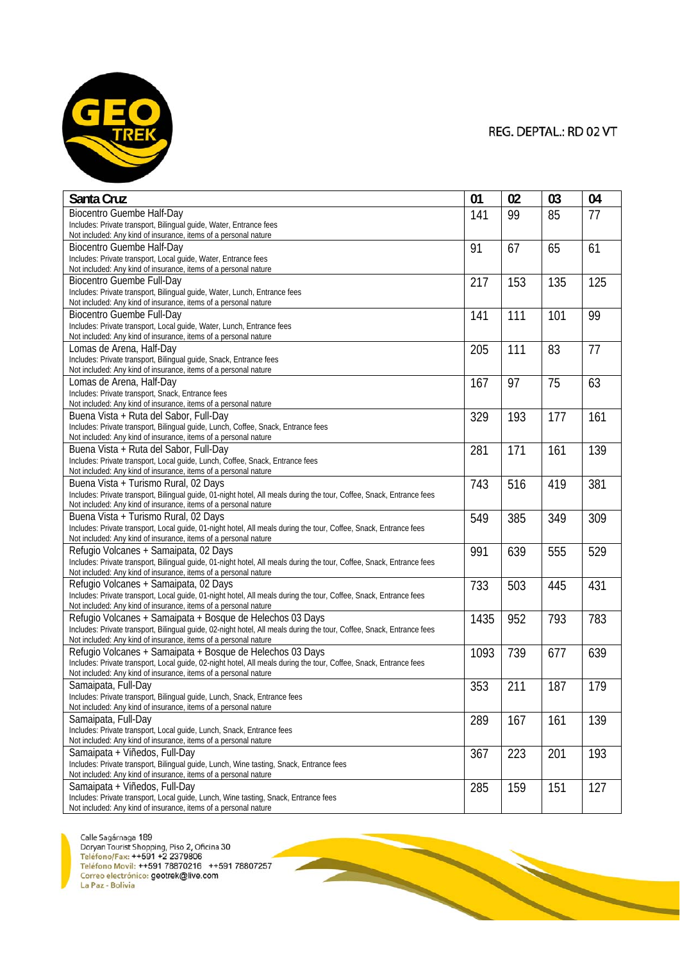

| Santa Cruz                                                                                                                                                                               | 01   | 02  | 03  | 04  |
|------------------------------------------------------------------------------------------------------------------------------------------------------------------------------------------|------|-----|-----|-----|
| <b>Biocentro Guembe Half-Day</b>                                                                                                                                                         | 141  | 99  | 85  | 77  |
| Includes: Private transport, Bilingual guide, Water, Entrance fees                                                                                                                       |      |     |     |     |
| Not included: Any kind of insurance, items of a personal nature                                                                                                                          |      |     |     |     |
| Biocentro Guembe Half-Day                                                                                                                                                                | 91   | 67  | 65  | 61  |
| Includes: Private transport, Local quide, Water, Entrance fees<br>Not included: Any kind of insurance, items of a personal nature                                                        |      |     |     |     |
| <b>Biocentro Guembe Full-Day</b>                                                                                                                                                         | 217  | 153 | 135 | 125 |
| Includes: Private transport, Bilingual guide, Water, Lunch, Entrance fees                                                                                                                |      |     |     |     |
| Not included: Any kind of insurance, items of a personal nature                                                                                                                          |      |     |     |     |
| <b>Biocentro Guembe Full-Day</b>                                                                                                                                                         | 141  | 111 | 101 | 99  |
| Includes: Private transport, Local guide, Water, Lunch, Entrance fees                                                                                                                    |      |     |     |     |
| Not included: Any kind of insurance, items of a personal nature                                                                                                                          |      |     |     |     |
| Lomas de Arena, Half-Day                                                                                                                                                                 | 205  | 111 | 83  | 77  |
| Includes: Private transport, Bilingual guide, Snack, Entrance fees                                                                                                                       |      |     |     |     |
| Not included: Any kind of insurance, items of a personal nature                                                                                                                          |      |     |     |     |
| Lomas de Arena, Half-Day<br>Includes: Private transport, Snack, Entrance fees                                                                                                            | 167  | 97  | 75  | 63  |
| Not included: Any kind of insurance, items of a personal nature                                                                                                                          |      |     |     |     |
| Buena Vista + Ruta del Sabor, Full-Day                                                                                                                                                   | 329  | 193 | 177 | 161 |
| Includes: Private transport, Bilingual guide, Lunch, Coffee, Snack, Entrance fees                                                                                                        |      |     |     |     |
| Not included: Any kind of insurance, items of a personal nature                                                                                                                          |      |     |     |     |
| Buena Vista + Ruta del Sabor, Full-Day                                                                                                                                                   | 281  | 171 | 161 | 139 |
| Includes: Private transport, Local guide, Lunch, Coffee, Snack, Entrance fees                                                                                                            |      |     |     |     |
| Not included: Any kind of insurance, items of a personal nature                                                                                                                          |      |     |     |     |
| Buena Vista + Turismo Rural, 02 Days                                                                                                                                                     | 743  | 516 | 419 | 381 |
| Includes: Private transport, Bilingual guide, 01-night hotel, All meals during the tour, Coffee, Snack, Entrance fees                                                                    |      |     |     |     |
| Not included: Any kind of insurance, items of a personal nature<br>Buena Vista + Turismo Rural, 02 Days                                                                                  |      |     |     |     |
| Includes: Private transport, Local guide, 01-night hotel, All meals during the tour, Coffee, Snack, Entrance fees                                                                        | 549  | 385 | 349 | 309 |
| Not included: Any kind of insurance, items of a personal nature                                                                                                                          |      |     |     |     |
| Refugio Volcanes + Samaipata, 02 Days                                                                                                                                                    | 991  | 639 | 555 | 529 |
| Includes: Private transport, Bilingual guide, 01-night hotel, All meals during the tour, Coffee, Snack, Entrance fees                                                                    |      |     |     |     |
| Not included: Any kind of insurance, items of a personal nature                                                                                                                          |      |     |     |     |
| Refugio Volcanes + Samaipata, 02 Days                                                                                                                                                    | 733  | 503 | 445 | 431 |
| Includes: Private transport, Local guide, 01-night hotel, All meals during the tour, Coffee, Snack, Entrance fees                                                                        |      |     |     |     |
| Not included: Any kind of insurance, items of a personal nature                                                                                                                          |      |     |     |     |
| Refugio Volcanes + Samaipata + Bosque de Helechos 03 Days                                                                                                                                | 1435 | 952 | 793 | 783 |
| Includes: Private transport, Bilingual guide, 02-night hotel, All meals during the tour, Coffee, Snack, Entrance fees<br>Not included: Any kind of insurance, items of a personal nature |      |     |     |     |
| Refugio Volcanes + Samaipata + Bosque de Helechos 03 Days                                                                                                                                | 1093 | 739 | 677 | 639 |
| Includes: Private transport, Local guide, 02-night hotel, All meals during the tour, Coffee, Snack, Entrance fees                                                                        |      |     |     |     |
| Not included: Any kind of insurance, items of a personal nature                                                                                                                          |      |     |     |     |
| Samaipata, Full-Day                                                                                                                                                                      | 353  | 211 | 187 | 179 |
| Includes: Private transport, Bilingual guide, Lunch, Snack, Entrance fees                                                                                                                |      |     |     |     |
| Not included: Any kind of insurance, items of a personal nature                                                                                                                          |      |     |     |     |
| Samaipata, Full-Day                                                                                                                                                                      | 289  | 167 | 161 | 139 |
| Includes: Private transport, Local guide, Lunch, Snack, Entrance fees                                                                                                                    |      |     |     |     |
| Not included: Any kind of insurance, items of a personal nature<br>Samaipata + Viñedos, Full-Day                                                                                         |      |     |     |     |
| Includes: Private transport, Bilingual guide, Lunch, Wine tasting, Snack, Entrance fees                                                                                                  | 367  | 223 | 201 | 193 |
| Not included: Any kind of insurance, items of a personal nature                                                                                                                          |      |     |     |     |
| Samaipata + Viñedos, Full-Day                                                                                                                                                            | 285  | 159 | 151 | 127 |
| Includes: Private transport, Local guide, Lunch, Wine tasting, Snack, Entrance fees                                                                                                      |      |     |     |     |
| Not included: Any kind of insurance, items of a personal nature                                                                                                                          |      |     |     |     |

**START OF BUILDING**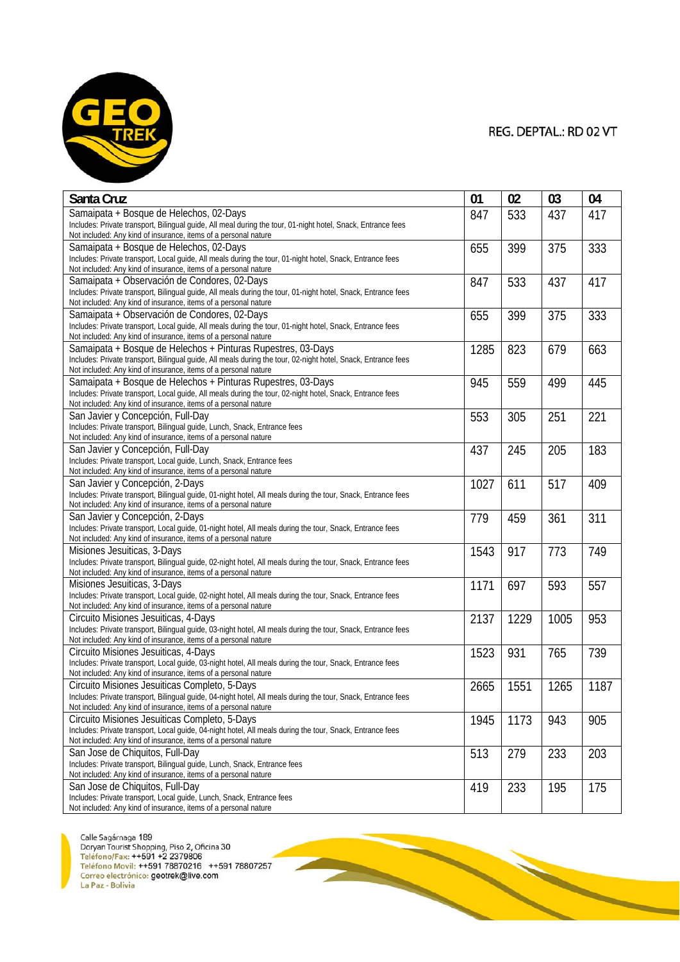

**REAL PROPERTY** 

| Santa Cruz                                                                                                                                                                       | 01   | 02   | 03   | 04   |
|----------------------------------------------------------------------------------------------------------------------------------------------------------------------------------|------|------|------|------|
| Samaipata + Bosque de Helechos, 02-Days                                                                                                                                          | 847  | 533  | 437  | 417  |
| Includes: Private transport, Bilingual guide, All meal during the tour, 01-night hotel, Snack, Entrance fees                                                                     |      |      |      |      |
| Not included: Any kind of insurance, items of a personal nature                                                                                                                  |      |      |      |      |
| Samaipata + Bosque de Helechos, 02-Days<br>Includes: Private transport, Local guide, All meals during the tour, 01-night hotel, Snack, Entrance fees                             | 655  | 399  | 375  | 333  |
| Not included: Any kind of insurance, items of a personal nature                                                                                                                  |      |      |      |      |
| Samaipata + Observación de Condores, 02-Days                                                                                                                                     | 847  | 533  | 437  | 417  |
| Includes: Private transport, Bilingual guide, All meals during the tour, 01-night hotel, Snack, Entrance fees                                                                    |      |      |      |      |
| Not included: Any kind of insurance, items of a personal nature                                                                                                                  |      |      |      |      |
| Samaipata + Observación de Condores, 02-Days                                                                                                                                     | 655  | 399  | 375  | 333  |
| Includes: Private transport, Local guide, All meals during the tour, 01-night hotel, Snack, Entrance fees<br>Not included: Any kind of insurance, items of a personal nature     |      |      |      |      |
| Samaipata + Bosque de Helechos + Pinturas Rupestres, 03-Days                                                                                                                     | 1285 | 823  | 679  | 663  |
| Includes: Private transport, Bilingual guide, All meals during the tour, 02-night hotel, Snack, Entrance fees                                                                    |      |      |      |      |
| Not included: Any kind of insurance, items of a personal nature                                                                                                                  |      |      |      |      |
| Samaipata + Bosque de Helechos + Pinturas Rupestres, 03-Days                                                                                                                     | 945  | 559  | 499  | 445  |
| Includes: Private transport, Local guide, All meals during the tour, 02-night hotel, Snack, Entrance fees                                                                        |      |      |      |      |
| Not included: Any kind of insurance, items of a personal nature                                                                                                                  |      |      |      |      |
| San Javier y Concepción, Full-Day<br>Includes: Private transport, Bilingual guide, Lunch, Snack, Entrance fees                                                                   | 553  | 305  | 251  | 221  |
| Not included: Any kind of insurance, items of a personal nature                                                                                                                  |      |      |      |      |
| San Javier y Concepción, Full-Day                                                                                                                                                | 437  | 245  | 205  | 183  |
| Includes: Private transport, Local quide, Lunch, Snack, Entrance fees                                                                                                            |      |      |      |      |
| Not included: Any kind of insurance, items of a personal nature                                                                                                                  |      |      |      |      |
| San Javier y Concepción, 2-Days                                                                                                                                                  | 1027 | 611  | 517  | 409  |
| Includes: Private transport, Bilingual guide, 01-night hotel, All meals during the tour, Snack, Entrance fees<br>Not included: Any kind of insurance, items of a personal nature |      |      |      |      |
| San Javier y Concepción, 2-Days                                                                                                                                                  | 779  | 459  | 361  | 311  |
| Includes: Private transport, Local guide, 01-night hotel, All meals during the tour, Snack, Entrance fees                                                                        |      |      |      |      |
| Not included: Any kind of insurance, items of a personal nature                                                                                                                  |      |      |      |      |
| Misiones Jesuiticas, 3-Days                                                                                                                                                      | 1543 | 917  | 773  | 749  |
| Includes: Private transport, Bilingual guide, 02-night hotel, All meals during the tour, Snack, Entrance fees<br>Not included: Any kind of insurance, items of a personal nature |      |      |      |      |
| Misiones Jesuiticas, 3-Days                                                                                                                                                      | 1171 | 697  | 593  | 557  |
| Includes: Private transport, Local guide, 02-night hotel, All meals during the tour, Snack, Entrance fees                                                                        |      |      |      |      |
| Not included: Any kind of insurance, items of a personal nature                                                                                                                  |      |      |      |      |
| Circuito Misiones Jesuiticas, 4-Days                                                                                                                                             | 2137 | 1229 | 1005 | 953  |
| Includes: Private transport, Bilingual guide, 03-night hotel, All meals during the tour, Snack, Entrance fees                                                                    |      |      |      |      |
| Not included: Any kind of insurance, items of a personal nature<br>Circuito Misiones Jesuiticas, 4-Days                                                                          |      |      |      |      |
| Includes: Private transport, Local guide, 03-night hotel, All meals during the tour, Snack, Entrance fees                                                                        | 1523 | 931  | 765  | 739  |
| Not included: Any kind of insurance, items of a personal nature                                                                                                                  |      |      |      |      |
| Circuito Misiones Jesuiticas Completo, 5-Days                                                                                                                                    | 2665 | 1551 | 1265 | 1187 |
| Includes: Private transport, Bilingual guide, 04-night hotel, All meals during the tour, Snack, Entrance fees                                                                    |      |      |      |      |
| Not included: Any kind of insurance, items of a personal nature                                                                                                                  |      |      |      |      |
| Circuito Misiones Jesuiticas Completo, 5-Days                                                                                                                                    | 1945 | 1173 | 943  | 905  |
| Includes: Private transport, Local guide, 04-night hotel, All meals during the tour, Snack, Entrance fees<br>Not included: Any kind of insurance, items of a personal nature     |      |      |      |      |
| San Jose de Chiquitos, Full-Day                                                                                                                                                  | 513  | 279  | 233  | 203  |
| Includes: Private transport, Bilingual guide, Lunch, Snack, Entrance fees                                                                                                        |      |      |      |      |
| Not included: Any kind of insurance, items of a personal nature                                                                                                                  |      |      |      |      |
| San Jose de Chiquitos, Full-Day                                                                                                                                                  | 419  | 233  | 195  | 175  |
| Includes: Private transport, Local guide, Lunch, Snack, Entrance fees<br>Not included: Any kind of insurance, items of a personal nature                                         |      |      |      |      |

**Particularly**